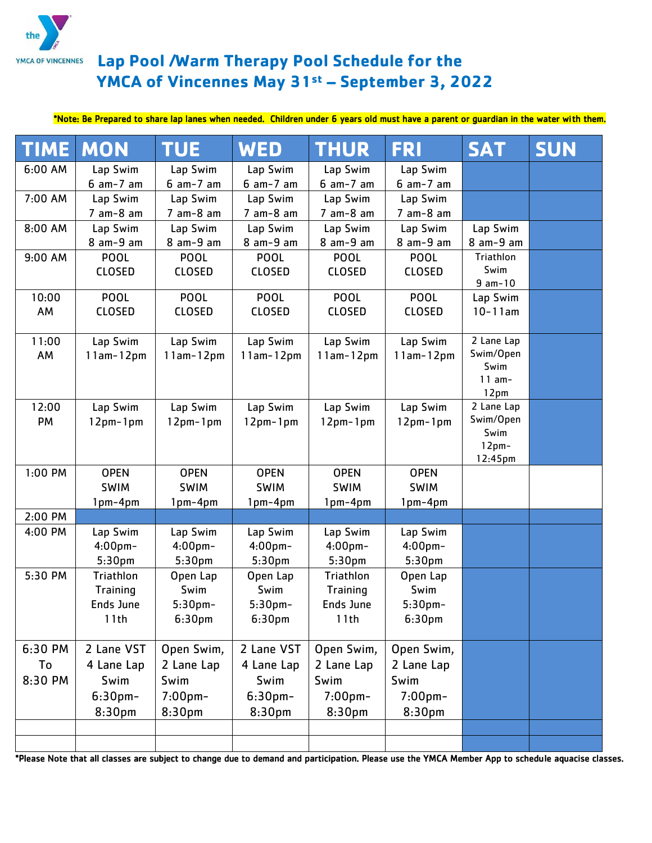

## **Lap Pool /Warm Therapy Pool Schedule for the YMCA of Vincennes May 31st – September 3, 2022**

## \*Note: Be Prepared to share lap lanes when needed. Children under 6 years old must have a parent or guardian in the water with them.

| <b>TIME</b> | <b>MON</b>         | <b>TUE</b>         | <b>WED</b>         | <b>THUR</b>        | <b>FRI</b>         | <b>SAT</b>              | <b>SUN</b> |
|-------------|--------------------|--------------------|--------------------|--------------------|--------------------|-------------------------|------------|
| 6:00 AM     | Lap Swim           | Lap Swim           | Lap Swim           | Lap Swim           | Lap Swim           |                         |            |
|             | $6$ am- $7$ am     | $6$ am- $7$ am     | $6$ am- $7$ am     | $6$ am- $7$ am     | $6$ am- $7$ am     |                         |            |
| 7:00 AM     | Lap Swim           | Lap Swim           | Lap Swim           | Lap Swim           | Lap Swim           |                         |            |
|             | $7$ am- $8$ am     | $7$ am- $8$ am     | $7$ am- $8$ am     | $7$ am- $8$ am     | $7$ am- $8$ am     |                         |            |
| 8:00 AM     | Lap Swim           | Lap Swim           | Lap Swim           | Lap Swim           | Lap Swim           | Lap Swim                |            |
|             | $8$ am- $9$ am     | $8$ am- $9$ am     | 8 am-9 am          | 8 am-9 am          | $8$ am-9 am        | $8$ am-9 am             |            |
| 9:00 AM     | <b>POOL</b>        | <b>POOL</b>        | <b>POOL</b>        | <b>POOL</b>        | <b>POOL</b>        | Triathlon               |            |
|             | <b>CLOSED</b>      | <b>CLOSED</b>      | <b>CLOSED</b>      | <b>CLOSED</b>      | <b>CLOSED</b>      | Swim                    |            |
|             |                    |                    |                    |                    |                    | $9$ am- $10$            |            |
| 10:00       | <b>POOL</b>        | <b>POOL</b>        | <b>POOL</b>        | <b>POOL</b>        | <b>POOL</b>        | Lap Swim                |            |
| AM          | <b>CLOSED</b>      | <b>CLOSED</b>      | <b>CLOSED</b>      | <b>CLOSED</b>      | <b>CLOSED</b>      | $10 - 11$ am            |            |
|             |                    |                    |                    |                    |                    |                         |            |
| 11:00       | Lap Swim           | Lap Swim           | Lap Swim           | Lap Swim           | Lap Swim           | 2 Lane Lap<br>Swim/Open |            |
| AM          | $11am-12pm$        | $11am-12pm$        | $11am-12pm$        | $11am-12pm$        | $11am-12pm$        | Swim                    |            |
|             |                    |                    |                    |                    |                    | $11 am-$                |            |
|             |                    |                    |                    |                    |                    | 12pm                    |            |
| 12:00       | Lap Swim           | Lap Swim           | Lap Swim           | Lap Swim           | Lap Swim           | 2 Lane Lap              |            |
| PM          | $12pm-1pm$         | $12pm-1pm$         | $12pm-1pm$         | $12pm-1pm$         | $12pm-1pm$         | Swim/Open               |            |
|             |                    |                    |                    |                    |                    | Swim                    |            |
|             |                    |                    |                    |                    |                    | $12pm-$                 |            |
| 1:00 PM     | <b>OPEN</b>        | <b>OPEN</b>        | <b>OPEN</b>        | <b>OPEN</b>        | <b>OPEN</b>        | 12:45pm                 |            |
|             | <b>SWIM</b>        | <b>SWIM</b>        | <b>SWIM</b>        | <b>SWIM</b>        | <b>SWIM</b>        |                         |            |
|             | 1pm-4pm            | 1pm-4pm            | 1pm-4pm            | 1pm-4pm            | 1pm-4pm            |                         |            |
| 2:00 PM     |                    |                    |                    |                    |                    |                         |            |
| 4:00 PM     | Lap Swim           | Lap Swim           | Lap Swim           | Lap Swim           | Lap Swim           |                         |            |
|             | $4:00$ pm $-$      | $4:00$ pm $-$      | $4:00$ pm $-$      | $4:00$ pm $-$      | $4:00$ pm $-$      |                         |            |
|             | 5:30 <sub>pm</sub> | 5:30 <sub>pm</sub> | 5:30 <sub>pm</sub> | 5:30 <sub>pm</sub> | 5:30 <sub>pm</sub> |                         |            |
| 5:30 PM     | Triathlon          | Open Lap           | Open Lap           | Triathlon          | Open Lap           |                         |            |
|             | Training           | Swim               | Swim               | Training           | Swim               |                         |            |
|             | <b>Ends June</b>   | $5:30$ pm-         | 5:30pm-            | <b>Ends June</b>   | 5:30pm-            |                         |            |
|             | 11th               | 6:30 <sub>pm</sub> | 6:30 <sub>pm</sub> | 11th               | 6:30 <sub>pm</sub> |                         |            |
|             |                    |                    |                    |                    |                    |                         |            |
| 6:30 PM     | 2 Lane VST         | Open Swim,         | 2 Lane VST         | Open Swim,         | Open Swim,         |                         |            |
| To          | 4 Lane Lap         | 2 Lane Lap         | 4 Lane Lap         | 2 Lane Lap         | 2 Lane Lap         |                         |            |
| 8:30 PM     | Swim               | Swim               | Swim               | Swim               | Swim               |                         |            |
|             | $6:30$ pm-         | 7:00pm-            | $6:30$ pm-         | $7:00$ pm-         | $7:00$ pm-         |                         |            |
|             | 8:30 <sub>pm</sub> | 8:30 <sub>pm</sub> | 8:30 <sub>pm</sub> | 8:30 <sub>pm</sub> | 8:30 <sub>pm</sub> |                         |            |
|             |                    |                    |                    |                    |                    |                         |            |
|             |                    |                    |                    |                    |                    |                         |            |
|             |                    |                    |                    |                    |                    |                         |            |

\*Please Note that all classes are subject to change due to demand and participation. Please use the YMCA Member App to schedule aquacise classes.